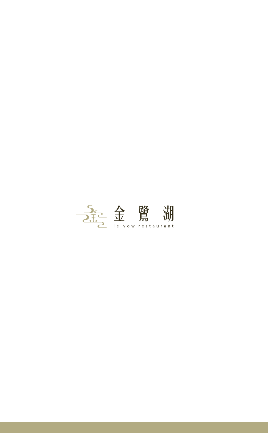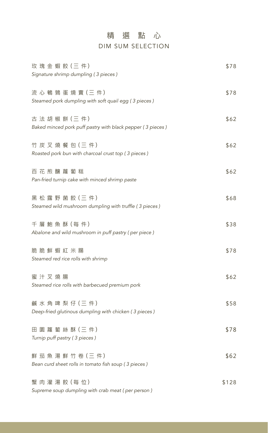## 精選點心 DIM SUM SELECTION

| 玫 瑰 金 蝦 餃 (三 件)<br>Signature shrimp dumpling (3 pieces)                     | \$78  |
|-----------------------------------------------------------------------------|-------|
| 流 心 鵪 鶉 蛋 燒 賣 (三 件)<br>Steamed pork dumpling with soft quail egg (3 pieces) | \$78  |
| 古法胡椒餅(三件)<br>Baked minced pork puff pastry with black pepper (3 pieces)     | \$62  |
| 竹 炭 叉 燒 餐 包 (三件)<br>Roasted pork bun with charcoal crust top (3 pieces)     | \$62  |
| 百花煎釀蘿蔔糕<br>Pan-fried turnip cake with minced shrimp paste                   | \$62  |
| 黑松露野菌餃(三件)<br>Steamed wild mushroom dumpling with truffle (3 pieces)        | \$68  |
| 千層 鮑魚酥 (每件)<br>Abalone and wild mushroom in puff pastry (per piece)         | \$38  |
| 脆脆鮮蝦紅米腸<br>Steamed red rice rolls with shrimp                               | \$78  |
| 蜜汁叉燒腸<br>Steamed rice rolls with barbecued premium pork                     | \$62  |
| 鹹水角啤梨仔(三件)<br>Deep-fried glutinous dumpling with chicken (3 pieces)         | \$58  |
| 田園蘿蔔絲酥 (三件)<br>Turnip puff pastry (3 pieces)                                | \$78  |
| 鮮茄魚湯鮮竹卷(三件)<br>Bean curd sheet rolls in tomato fish soup (3 pieces)         | \$62  |
| 蟹 肉 灌 湯 餃 (每 位)<br>Supreme soup dumpling with crab meat (per person)        | \$128 |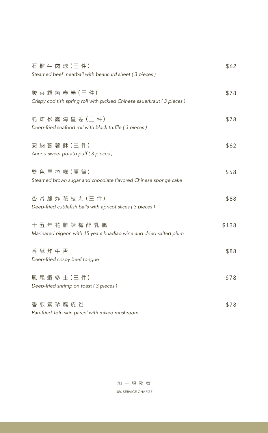| 石榴牛肉球(三件)<br>Steamed beef meatball with beancurd sheet (3 pieces)                          | \$62  |
|--------------------------------------------------------------------------------------------|-------|
| 酸菜 鱈 魚 春 卷 (三 件)<br>Crispy cod fish spring roll with pickled Chinese sauerkraut (3 pieces) | \$78  |
| 脆炸松露海皇卷(三件)<br>Deep-fried seafood roll with black truffle (3 pieces)                       | \$78  |
| 安 納 蕃 薯 酥 (三件)<br>Annou sweet potato puff (3 pieces)                                       | \$62  |
| 雙色馬拉糕 (原籠)<br>Steamed brown sugar and chocolate flavored Chinese sponge cake               | \$58  |
| 杏片脆炸花枝丸(三件)<br>Deep-fried cuttlefish balls with apricot slices (3 pieces)                  | \$88  |
| 十五年花雕話梅醉乳鴿<br>Marinated pigeon with 15 years huadiao wine and dried salted plum            | \$138 |
| 香酥炸牛舌<br>Deep-fried crispy beef tongue                                                     | \$88  |
| 鳳尾蝦多士(三件)<br>Deep-fried shrimp on toast (3 pieces)                                         | \$78  |
| 香煎素珍腐皮卷                                                                                    | \$78  |

*Pan-fried Tofu skin parcel with mixed mushroom*

加一服務費 10% SERVICE CHARGE